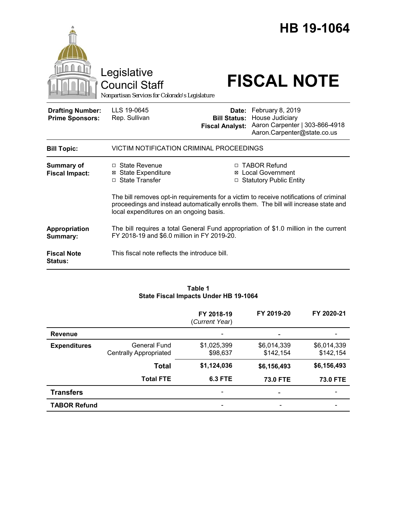|                                                   | Legislative<br><b>Council Staff</b><br>Nonpartisan Services for Colorado's Legislature                                              |                                                        | HB 19-1064<br><b>FISCAL NOTE</b>                                                                                                                                   |
|---------------------------------------------------|-------------------------------------------------------------------------------------------------------------------------------------|--------------------------------------------------------|--------------------------------------------------------------------------------------------------------------------------------------------------------------------|
| <b>Drafting Number:</b><br><b>Prime Sponsors:</b> | LLS 19-0645<br>Rep. Sullivan                                                                                                        | Date:<br><b>Bill Status:</b><br><b>Fiscal Analyst:</b> | February 8, 2019<br>House Judiciary<br>Aaron Carpenter   303-866-4918<br>Aaron.Carpenter@state.co.us                                                               |
| <b>Bill Topic:</b>                                | VICTIM NOTIFICATION CRIMINAL PROCEEDINGS                                                                                            |                                                        |                                                                                                                                                                    |
| <b>Summary of</b><br><b>Fiscal Impact:</b>        | $\Box$ State Revenue<br><b>State Expenditure</b><br>⊠<br>□ State Transfer                                                           |                                                        | □ TABOR Refund<br><b>⊠</b> Local Government<br>□ Statutory Public Entity<br>The bill removes opt-in requirements for a victim to receive notifications of criminal |
|                                                   | proceedings and instead automatically enrolls them. The bill will increase state and<br>local expenditures on an ongoing basis.     |                                                        |                                                                                                                                                                    |
| Appropriation<br>Summary:                         | The bill requires a total General Fund appropriation of \$1.0 million in the current<br>FY 2018-19 and \$6.0 million in FY 2019-20. |                                                        |                                                                                                                                                                    |
| <b>Fiscal Note</b><br><b>Status:</b>              | This fiscal note reflects the introduce bill.                                                                                       |                                                        |                                                                                                                                                                    |

### **Table 1 State Fiscal Impacts Under HB 19-1064**

|                     |                                               | FY 2018-19<br>(Current Year) | FY 2019-20               | FY 2020-21               |
|---------------------|-----------------------------------------------|------------------------------|--------------------------|--------------------------|
| <b>Revenue</b>      |                                               | -                            |                          |                          |
| <b>Expenditures</b> | General Fund<br><b>Centrally Appropriated</b> | \$1,025,399<br>\$98,637      | \$6,014,339<br>\$142,154 | \$6,014,339<br>\$142,154 |
|                     | <b>Total</b>                                  | \$1,124,036                  | \$6,156,493              | \$6,156,493              |
|                     | <b>Total FTE</b>                              | <b>6.3 FTE</b>               | <b>73.0 FTE</b>          | <b>73.0 FTE</b>          |
| <b>Transfers</b>    |                                               | -                            |                          |                          |
| <b>TABOR Refund</b> |                                               | $\overline{\phantom{0}}$     |                          |                          |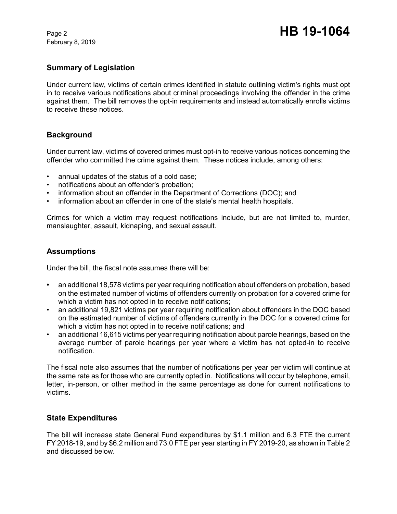February 8, 2019

# **Summary of Legislation**

Under current law, victims of certain crimes identified in statute outlining victim's rights must opt in to receive various notifications about criminal proceedings involving the offender in the crime against them. The bill removes the opt-in requirements and instead automatically enrolls victims to receive these notices.

## **Background**

Under current law, victims of covered crimes must opt-in to receive various notices concerning the offender who committed the crime against them. These notices include, among others:

- annual updates of the status of a cold case;
- notifications about an offender's probation;
- information about an offender in the Department of Corrections (DOC); and
- information about an offender in one of the state's mental health hospitals.

Crimes for which a victim may request notifications include, but are not limited to, murder, manslaughter, assault, kidnaping, and sexual assault.

## **Assumptions**

Under the bill, the fiscal note assumes there will be:

- **•** an additional 18,578 victims per year requiring notification about offenders on probation, based on the estimated number of victims of offenders currently on probation for a covered crime for which a victim has not opted in to receive notifications;
- an additional 19,821 victims per year requiring notification about offenders in the DOC based on the estimated number of victims of offenders currently in the DOC for a covered crime for which a victim has not opted in to receive notifications; and
- an additional 16,615 victims per year requiring notification about parole hearings, based on the average number of parole hearings per year where a victim has not opted-in to receive notification.

The fiscal note also assumes that the number of notifications per year per victim will continue at the same rate as for those who are currently opted in. Notifications will occur by telephone, email, letter, in-person, or other method in the same percentage as done for current notifications to victims.

## **State Expenditures**

The bill will increase state General Fund expenditures by \$1.1 million and 6.3 FTE the current FY 2018-19, and by \$6.2 million and 73.0 FTE per year starting in FY 2019-20, as shown in Table 2 and discussed below.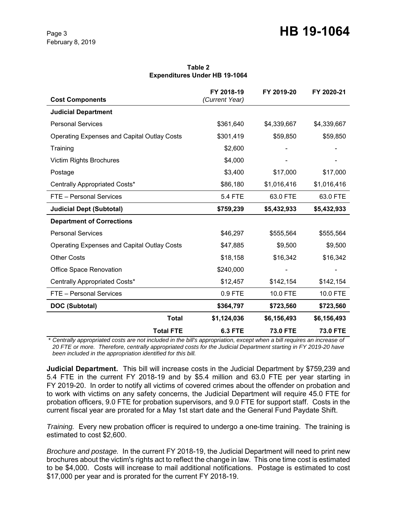# Page 3 **HB 19-1064**

**Table 2 Expenditures Under HB 19-1064**

| <b>Cost Components</b>                             | FY 2018-19<br>(Current Year) | FY 2019-20      | FY 2020-21      |
|----------------------------------------------------|------------------------------|-----------------|-----------------|
| <b>Judicial Department</b>                         |                              |                 |                 |
| <b>Personal Services</b>                           | \$361,640                    | \$4,339,667     | \$4,339,667     |
| <b>Operating Expenses and Capital Outlay Costs</b> | \$301,419                    | \$59,850        | \$59,850        |
| Training                                           | \$2,600                      |                 |                 |
| <b>Victim Rights Brochures</b>                     | \$4,000                      |                 |                 |
| Postage                                            | \$3,400                      | \$17,000        | \$17,000        |
| Centrally Appropriated Costs*                      | \$86,180                     | \$1,016,416     | \$1,016,416     |
| FTE - Personal Services                            | <b>5.4 FTE</b>               | 63.0 FTE        | 63.0 FTE        |
| <b>Judicial Dept (Subtotal)</b>                    | \$759,239                    | \$5,432,933     | \$5,432,933     |
| <b>Department of Corrections</b>                   |                              |                 |                 |
| <b>Personal Services</b>                           | \$46,297                     | \$555,564       | \$555,564       |
| Operating Expenses and Capital Outlay Costs        | \$47,885                     | \$9,500         | \$9,500         |
| <b>Other Costs</b>                                 | \$18,158                     | \$16,342        | \$16,342        |
| <b>Office Space Renovation</b>                     | \$240,000                    |                 |                 |
| Centrally Appropriated Costs*                      | \$12,457                     | \$142,154       | \$142,154       |
| FTE - Personal Services                            | 0.9 FTE                      | 10.0 FTE        | 10.0 FTE        |
| <b>DOC (Subtotal)</b>                              | \$364,797                    | \$723,560       | \$723,560       |
| <b>Total</b>                                       | \$1,124,036                  | \$6,156,493     | \$6,156,493     |
| <b>Total FTE</b>                                   | <b>6.3 FTE</b>               | <b>73.0 FTE</b> | <b>73.0 FTE</b> |

\* Centrally appropriated costs are not included in the bill's appropriation, except when a bill requires an increase of *20 FTE or more. Therefore, centrally appropriated costs for the Judicial Department starting in FY 2019-20 have been included in the appropriation identified for this bill.*

**Judicial Department.** This bill will increase costs in the Judicial Department by \$759,239 and 5.4 FTE in the current FY 2018-19 and by \$5.4 million and 63.0 FTE per year starting in FY 2019-20. In order to notify all victims of covered crimes about the offender on probation and to work with victims on any safety concerns, the Judicial Department will require 45.0 FTE for probation officers, 9.0 FTE for probation supervisors, and 9.0 FTE for support staff. Costs in the current fiscal year are prorated for a May 1st start date and the General Fund Paydate Shift.

*Training.* Every new probation officer is required to undergo a one-time training. The training is estimated to cost \$2,600.

*Brochure and postage.* In the current FY 2018-19, the Judicial Department will need to print new brochures about the victim's rights act to reflect the change in law. This one time cost is estimated to be \$4,000. Costs will increase to mail additional notifications. Postage is estimated to cost \$17,000 per year and is prorated for the current FY 2018-19.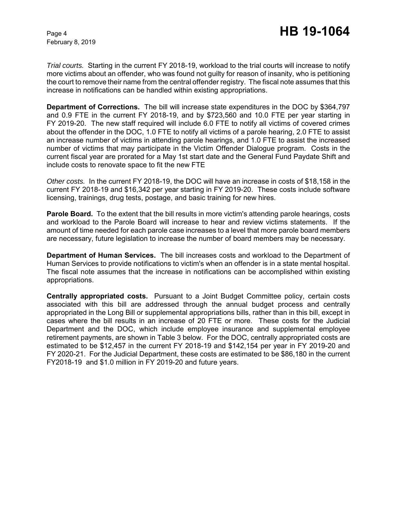February 8, 2019

*Trial courts.* Starting in the current FY 2018-19, workload to the trial courts will increase to notify more victims about an offender, who was found not guilty for reason of insanity, who is petitioning the court to remove their name from the central offender registry. The fiscal note assumes that this increase in notifications can be handled within existing appropriations.

**Department of Corrections.** The bill will increase state expenditures in the DOC by \$364,797 and 0.9 FTE in the current FY 2018-19, and by \$723,560 and 10.0 FTE per year starting in FY 2019-20. The new staff required will include 6.0 FTE to notify all victims of covered crimes about the offender in the DOC, 1.0 FTE to notify all victims of a parole hearing, 2.0 FTE to assist an increase number of victims in attending parole hearings, and 1.0 FTE to assist the increased number of victims that may participate in the Victim Offender Dialogue program. Costs in the current fiscal year are prorated for a May 1st start date and the General Fund Paydate Shift and include costs to renovate space to fit the new FTE

*Other costs.* In the current FY 2018-19, the DOC will have an increase in costs of \$18,158 in the current FY 2018-19 and \$16,342 per year starting in FY 2019-20. These costs include software licensing, trainings, drug tests, postage, and basic training for new hires.

**Parole Board.** To the extent that the bill results in more victim's attending parole hearings, costs and workload to the Parole Board will increase to hear and review victims statements. If the amount of time needed for each parole case increases to a level that more parole board members are necessary, future legislation to increase the number of board members may be necessary.

**Department of Human Services.** The bill increases costs and workload to the Department of Human Services to provide notifications to victim's when an offender is in a state mental hospital. The fiscal note assumes that the increase in notifications can be accomplished within existing appropriations.

**Centrally appropriated costs.** Pursuant to a Joint Budget Committee policy, certain costs associated with this bill are addressed through the annual budget process and centrally appropriated in the Long Bill or supplemental appropriations bills, rather than in this bill, except in cases where the bill results in an increase of 20 FTE or more. These costs for the Judicial Department and the DOC, which include employee insurance and supplemental employee retirement payments, are shown in Table 3 below. For the DOC, centrally appropriated costs are estimated to be \$12,457 in the current FY 2018-19 and \$142,154 per year in FY 2019-20 and FY 2020-21. For the Judicial Department, these costs are estimated to be \$86,180 in the current FY2018-19 and \$1.0 million in FY 2019-20 and future years.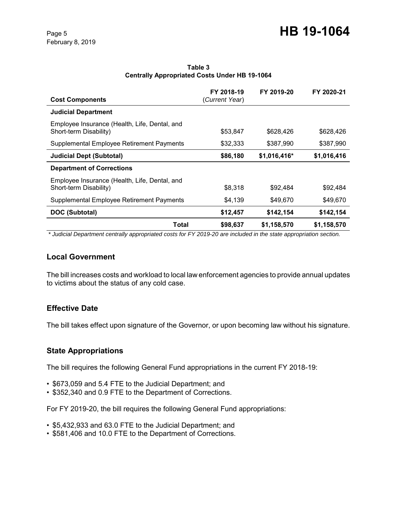| <b>Cost Components</b>                                                  | FY 2018-19<br>(Current Year) | FY 2019-20   | FY 2020-21  |
|-------------------------------------------------------------------------|------------------------------|--------------|-------------|
| <b>Judicial Department</b>                                              |                              |              |             |
| Employee Insurance (Health, Life, Dental, and<br>Short-term Disability) | \$53,847                     | \$628,426    | \$628,426   |
| Supplemental Employee Retirement Payments                               | \$32,333                     | \$387,990    | \$387.990   |
| <b>Judicial Dept (Subtotal)</b>                                         | \$86,180                     | \$1,016,416* | \$1,016,416 |
| <b>Department of Corrections</b>                                        |                              |              |             |
| Employee Insurance (Health, Life, Dental, and<br>Short-term Disability) | \$8,318                      | \$92,484     | \$92,484    |
| Supplemental Employee Retirement Payments                               | \$4,139                      | \$49,670     | \$49,670    |
| DOC (Subtotal)                                                          | \$12,457                     | \$142,154    | \$142,154   |
| Total                                                                   | \$98,637                     | \$1,158,570  | \$1,158,570 |

#### **Table 3 Centrally Appropriated Costs Under HB 19-1064**

 *\* Judicial Department centrally appropriated costs for FY 2019-20 are included in the state appropriation section.* 

### **Local Government**

The bill increases costs and workload to local law enforcement agencies to provide annual updates to victims about the status of any cold case.

# **Effective Date**

The bill takes effect upon signature of the Governor, or upon becoming law without his signature.

# **State Appropriations**

The bill requires the following General Fund appropriations in the current FY 2018-19:

- \$673,059 and 5.4 FTE to the Judicial Department; and
- \$352,340 and 0.9 FTE to the Department of Corrections.

For FY 2019-20, the bill requires the following General Fund appropriations:

- \$5,432,933 and 63.0 FTE to the Judicial Department; and
- \$581,406 and 10.0 FTE to the Department of Corrections.